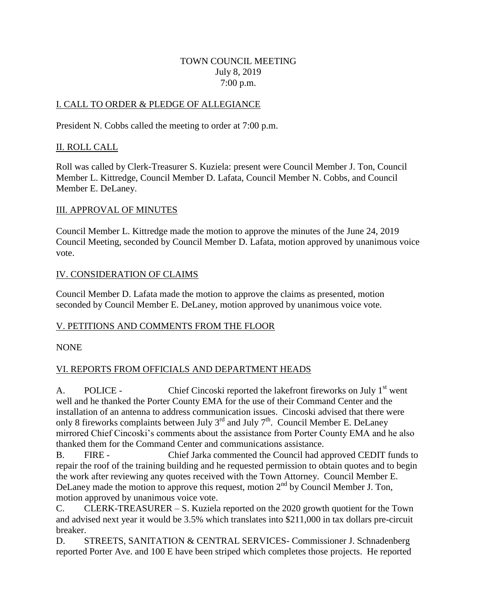#### TOWN COUNCIL MEETING July 8, 2019 7:00 p.m.

#### I. CALL TO ORDER & PLEDGE OF ALLEGIANCE

President N. Cobbs called the meeting to order at 7:00 p.m.

#### II. ROLL CALL

Roll was called by Clerk-Treasurer S. Kuziela: present were Council Member J. Ton, Council Member L. Kittredge, Council Member D. Lafata, Council Member N. Cobbs, and Council Member E. DeLaney.

#### III. APPROVAL OF MINUTES

Council Member L. Kittredge made the motion to approve the minutes of the June 24, 2019 Council Meeting, seconded by Council Member D. Lafata, motion approved by unanimous voice vote.

#### IV. CONSIDERATION OF CLAIMS

Council Member D. Lafata made the motion to approve the claims as presented, motion seconded by Council Member E. DeLaney, motion approved by unanimous voice vote.

## V. PETITIONS AND COMMENTS FROM THE FLOOR

#### NONE

## VI. REPORTS FROM OFFICIALS AND DEPARTMENT HEADS

A. POLICE - Chief Cincoski reported the lakefront fireworks on July 1<sup>st</sup> went well and he thanked the Porter County EMA for the use of their Command Center and the installation of an antenna to address communication issues. Cincoski advised that there were only 8 fireworks complaints between July  $3^{rd}$  and July  $7^{th}$ . Council Member E. DeLaney mirrored Chief Cincoski's comments about the assistance from Porter County EMA and he also thanked them for the Command Center and communications assistance.

B. FIRE - Chief Jarka commented the Council had approved CEDIT funds to repair the roof of the training building and he requested permission to obtain quotes and to begin the work after reviewing any quotes received with the Town Attorney. Council Member E. DeLaney made the motion to approve this request, motion  $2<sup>nd</sup>$  by Council Member J. Ton. motion approved by unanimous voice vote.

C. CLERK-TREASURER – S. Kuziela reported on the 2020 growth quotient for the Town and advised next year it would be 3.5% which translates into \$211,000 in tax dollars pre-circuit breaker.

D. STREETS, SANITATION & CENTRAL SERVICES- Commissioner J. Schnadenberg reported Porter Ave. and 100 E have been striped which completes those projects. He reported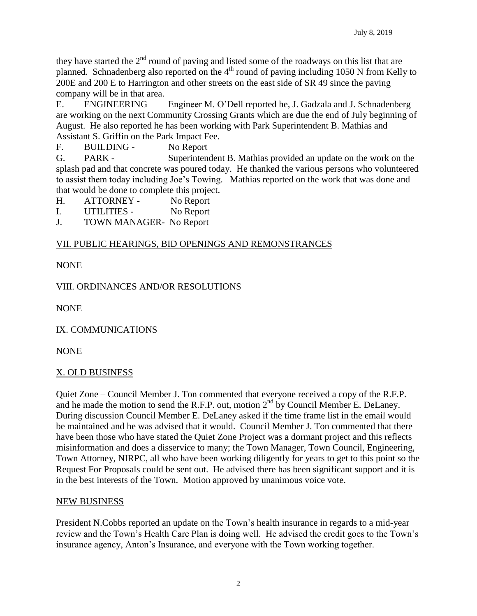they have started the  $2<sup>nd</sup>$  round of paving and listed some of the roadways on this list that are planned. Schnadenberg also reported on the  $4<sup>th</sup>$  round of paving including 1050 N from Kelly to 200E and 200 E to Harrington and other streets on the east side of SR 49 since the paving company will be in that area.

E. ENGINEERING – Engineer M. O'Dell reported he, J. Gadzala and J. Schnadenberg are working on the next Community Crossing Grants which are due the end of July beginning of August. He also reported he has been working with Park Superintendent B. Mathias and Assistant S. Griffin on the Park Impact Fee.

F. BUILDING - No Report

G. PARK - Superintendent B. Mathias provided an update on the work on the splash pad and that concrete was poured today. He thanked the various persons who volunteered to assist them today including Joe's Towing. Mathias reported on the work that was done and that would be done to complete this project.

H. ATTORNEY - No Report

I. UTILITIES - No Report

J. TOWN MANAGER- No Report

## VII. PUBLIC HEARINGS, BID OPENINGS AND REMONSTRANCES

NONE

# VIII. ORDINANCES AND/OR RESOLUTIONS

NONE

IX. COMMUNICATIONS

**NONE** 

# X. OLD BUSINESS

Quiet Zone – Council Member J. Ton commented that everyone received a copy of the R.F.P. and he made the motion to send the R.F.P. out, motion  $2<sup>nd</sup>$  by Council Member E. DeLaney. During discussion Council Member E. DeLaney asked if the time frame list in the email would be maintained and he was advised that it would. Council Member J. Ton commented that there have been those who have stated the Quiet Zone Project was a dormant project and this reflects misinformation and does a disservice to many; the Town Manager, Town Council, Engineering, Town Attorney, NIRPC, all who have been working diligently for years to get to this point so the Request For Proposals could be sent out. He advised there has been significant support and it is in the best interests of the Town. Motion approved by unanimous voice vote.

## NEW BUSINESS

President N.Cobbs reported an update on the Town's health insurance in regards to a mid-year review and the Town's Health Care Plan is doing well. He advised the credit goes to the Town's insurance agency, Anton's Insurance, and everyone with the Town working together.